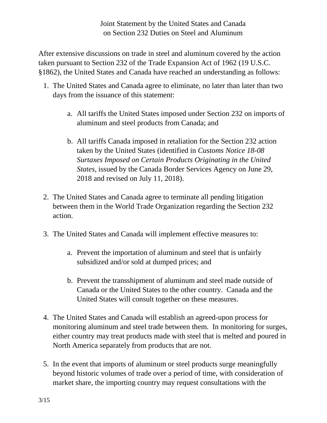After extensive discussions on trade in steel and aluminum covered by the action taken pursuant to Section 232 of the Trade Expansion Act of 1962 (19 U.S.C. §1862), the United States and Canada have reached an understanding as follows:

- 1. The United States and Canada agree to eliminate, no later than later than two days from the issuance of this statement:
	- a. All tariffs the United States imposed under Section 232 on imports of aluminum and steel products from Canada; and
	- b. All tariffs Canada imposed in retaliation for the Section 232 action taken by the United States (identified in *Customs Notice 18-08 Surtaxes Imposed on Certain Products Originating in the United States*, issued by the Canada Border Services Agency on June 29, 2018 and revised on July 11, 2018).
- 2. The United States and Canada agree to terminate all pending litigation between them in the World Trade Organization regarding the Section 232 action.
- 3. The United States and Canada will implement effective measures to:
	- a. Prevent the importation of aluminum and steel that is unfairly subsidized and/or sold at dumped prices; and
	- b. Prevent the transshipment of aluminum and steel made outside of Canada or the United States to the other country. Canada and the United States will consult together on these measures.
- 4. The United States and Canada will establish an agreed-upon process for monitoring aluminum and steel trade between them. In monitoring for surges, either country may treat products made with steel that is melted and poured in North America separately from products that are not.
- 5. In the event that imports of aluminum or steel products surge meaningfully beyond historic volumes of trade over a period of time, with consideration of market share, the importing country may request consultations with the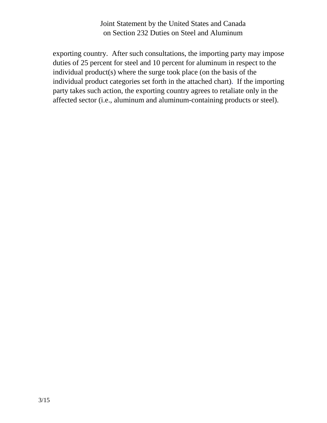exporting country. After such consultations, the importing party may impose duties of 25 percent for steel and 10 percent for aluminum in respect to the individual product(s) where the surge took place (on the basis of the individual product categories set forth in the attached chart). If the importing party takes such action, the exporting country agrees to retaliate only in the affected sector (i.e., aluminum and aluminum-containing products or steel).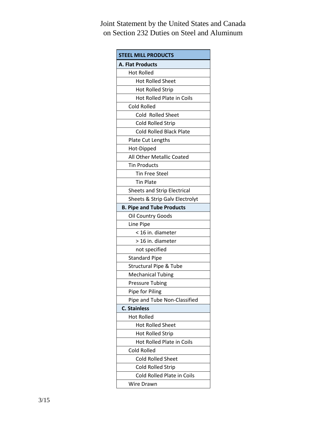| <b>STEEL MILL PRODUCTS</b>         |
|------------------------------------|
| <b>A. Flat Products</b>            |
| <b>Hot Rolled</b>                  |
| <b>Hot Rolled Sheet</b>            |
| <b>Hot Rolled Strip</b>            |
| Hot Rolled Plate in Coils          |
| <b>Cold Rolled</b>                 |
| Cold Rolled Sheet                  |
| <b>Cold Rolled Strip</b>           |
| <b>Cold Rolled Black Plate</b>     |
| Plate Cut Lengths                  |
| Hot-Dipped                         |
| All Other Metallic Coated          |
| <b>Tin Products</b>                |
| <b>Tin Free Steel</b>              |
| <b>Tin Plate</b>                   |
| <b>Sheets and Strip Electrical</b> |
| Sheets & Strip Galv Electrolyt     |
| <b>B. Pipe and Tube Products</b>   |
| Oil Country Goods                  |
| Line Pipe                          |
| < 16 in. diameter                  |
| > 16 in. diameter                  |
| not specified                      |
| <b>Standard Pipe</b>               |
| <b>Structural Pipe &amp; Tube</b>  |
| <b>Mechanical Tubing</b>           |
| <b>Pressure Tubing</b>             |
| Pipe for Piling                    |
| Pipe and Tube Non-Classified       |
| <b>C. Stainless</b>                |
| <b>Hot Rolled</b>                  |
| <b>Hot Rolled Sheet</b>            |
| <b>Hot Rolled Strip</b>            |
| Hot Rolled Plate in Coils          |
| Cold Rolled                        |
| <b>Cold Rolled Sheet</b>           |
| Cold Rolled Strip                  |
| Cold Rolled Plate in Coils         |
| Wire Drawn                         |